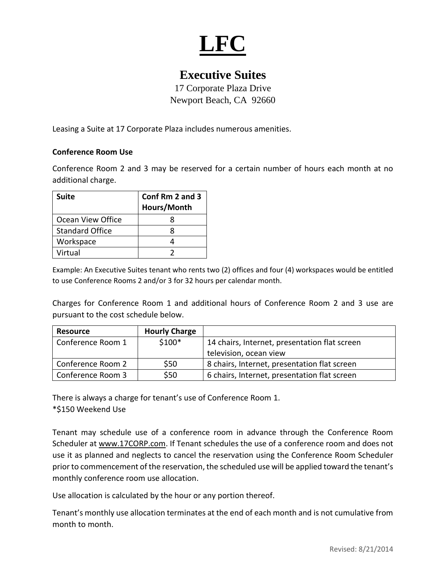

## **Executive Suites**

17 Corporate Plaza Drive Newport Beach, CA 92660

Leasing a Suite at 17 Corporate Plaza includes numerous amenities.

#### **Conference Room Use**

Conference Room 2 and 3 may be reserved for a certain number of hours each month at no additional charge.

| <b>Suite</b>           | Conf Rm 2 and 3<br>Hours/Month |  |
|------------------------|--------------------------------|--|
| Ocean View Office      |                                |  |
| <b>Standard Office</b> |                                |  |
| Workspace              |                                |  |
| Virtual                |                                |  |

Example: An Executive Suites tenant who rents two (2) offices and four (4) workspaces would be entitled to use Conference Rooms 2 and/or 3 for 32 hours per calendar month.

Charges for Conference Room 1 and additional hours of Conference Room 2 and 3 use are pursuant to the cost schedule below.

| <b>Resource</b>   | <b>Hourly Charge</b> |                                               |
|-------------------|----------------------|-----------------------------------------------|
| Conference Room 1 | $$100*$              | 14 chairs, Internet, presentation flat screen |
|                   |                      | television, ocean view                        |
| Conference Room 2 | \$50                 | 8 chairs, Internet, presentation flat screen  |
| Conference Room 3 | \$50                 | 6 chairs, Internet, presentation flat screen  |

There is always a charge for tenant's use of Conference Room 1. \*\$150 Weekend Use

Tenant may schedule use of a conference room in advance through the Conference Room Scheduler at www.17CORP.com. If Tenant schedules the use of a conference room and does not use it as planned and neglects to cancel the reservation using the Conference Room Scheduler prior to commencement of the reservation, the scheduled use will be applied toward the tenant's monthly conference room use allocation.

Use allocation is calculated by the hour or any portion thereof.

Tenant's monthly use allocation terminates at the end of each month and is not cumulative from month to month.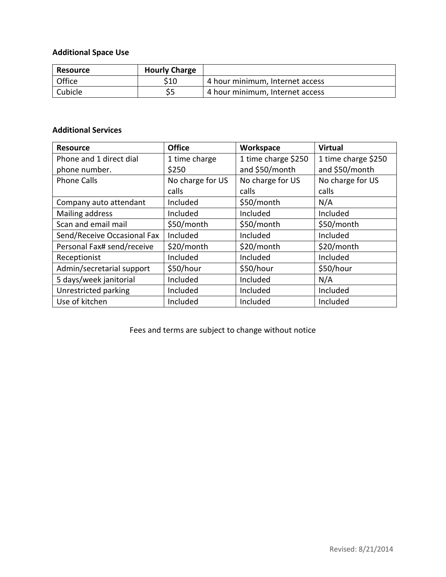#### **Additional Space Use**

| Resource | <b>Hourly Charge</b> |                                 |
|----------|----------------------|---------------------------------|
| Office   | S10                  | 4 hour minimum, Internet access |
| Cubicle  |                      | 4 hour minimum, Internet access |

#### **Additional Services**

| <b>Resource</b>             | <b>Office</b>    | Workspace           | <b>Virtual</b>      |
|-----------------------------|------------------|---------------------|---------------------|
| Phone and 1 direct dial     | 1 time charge    | 1 time charge \$250 | 1 time charge \$250 |
| phone number.               | \$250            | and \$50/month      | and \$50/month      |
| <b>Phone Calls</b>          | No charge for US | No charge for US    | No charge for US    |
|                             | calls            | calls               | calls               |
| Company auto attendant      | Included         | \$50/month          | N/A                 |
| Mailing address             | Included         | Included            | Included            |
| Scan and email mail         | \$50/month       | \$50/month          | \$50/month          |
| Send/Receive Occasional Fax | Included         | Included            | Included            |
| Personal Fax# send/receive  | \$20/month       | \$20/month          | \$20/month          |
| Receptionist                | Included         | Included            | Included            |
| Admin/secretarial support   | \$50/hour        | \$50/hour           | \$50/hour           |
| 5 days/week janitorial      | Included         | Included            | N/A                 |
| Unrestricted parking        | Included         | Included            | Included            |
| Use of kitchen              | Included         | Included            | Included            |

Fees and terms are subject to change without notice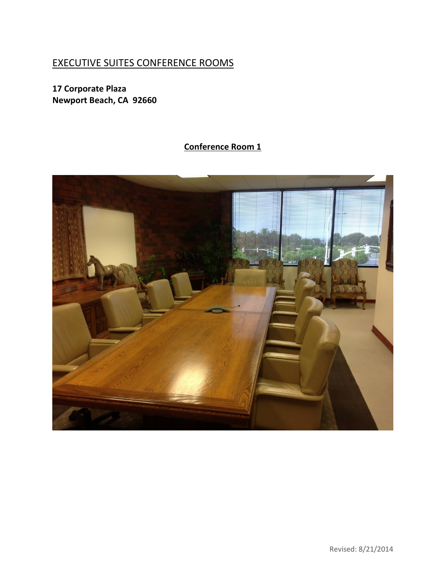# EXECUTIVE SUITES CONFERENCE ROOMS

**17 Corporate Plaza Newport Beach, CA 92660**

# **Conference Room 1**

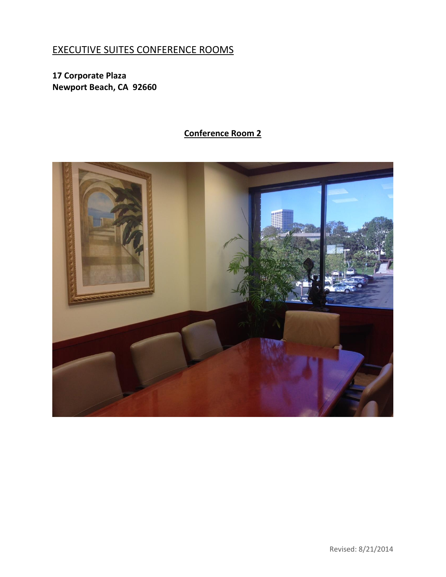## EXECUTIVE SUITES CONFERENCE ROOMS

**17 Corporate Plaza Newport Beach, CA 92660**

### **Conference Room 2**